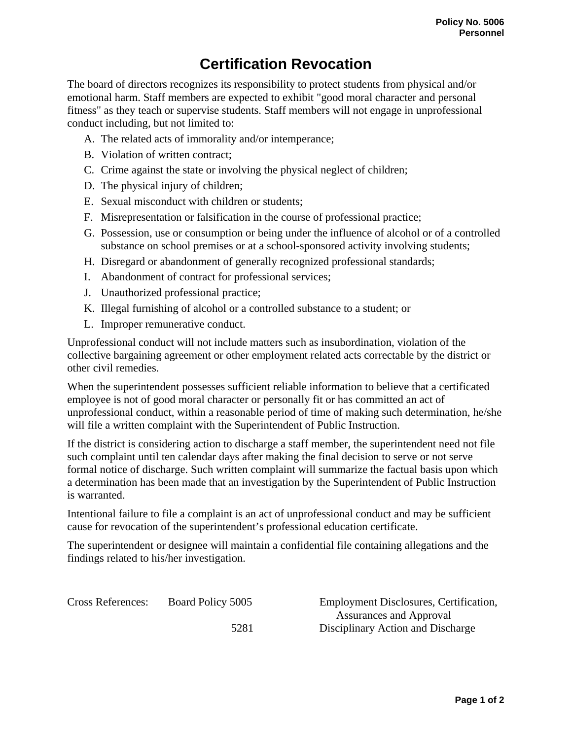## **Certification Revocation**

The board of directors recognizes its responsibility to protect students from physical and/or emotional harm. Staff members are expected to exhibit "good moral character and personal fitness" as they teach or supervise students. Staff members will not engage in unprofessional conduct including, but not limited to:

- A. The related acts of immorality and/or intemperance;
- B. Violation of written contract;
- C. Crime against the state or involving the physical neglect of children;
- D. The physical injury of children;
- E. Sexual misconduct with children or students;
- F. Misrepresentation or falsification in the course of professional practice;
- G. Possession, use or consumption or being under the influence of alcohol or of a controlled substance on school premises or at a school-sponsored activity involving students;
- H. Disregard or abandonment of generally recognized professional standards;
- I. Abandonment of contract for professional services;
- J. Unauthorized professional practice;
- K. Illegal furnishing of alcohol or a controlled substance to a student; or
- L. Improper remunerative conduct.

Unprofessional conduct will not include matters such as insubordination, violation of the collective bargaining agreement or other employment related acts correctable by the district or other civil remedies.

When the superintendent possesses sufficient reliable information to believe that a certificated employee is not of good moral character or personally fit or has committed an act of unprofessional conduct, within a reasonable period of time of making such determination, he/she will file a written complaint with the Superintendent of Public Instruction.

If the district is considering action to discharge a staff member, the superintendent need not file such complaint until ten calendar days after making the final decision to serve or not serve formal notice of discharge. Such written complaint will summarize the factual basis upon which a determination has been made that an investigation by the Superintendent of Public Instruction is warranted.

Intentional failure to file a complaint is an act of unprofessional conduct and may be sufficient cause for revocation of the superintendent's professional education certificate.

The superintendent or designee will maintain a confidential file containing allegations and the findings related to his/her investigation.

Cross References: Board Policy 5005 Employment Disclosures, Certification,

Assurances and Approval 5281 Disciplinary Action and Discharge